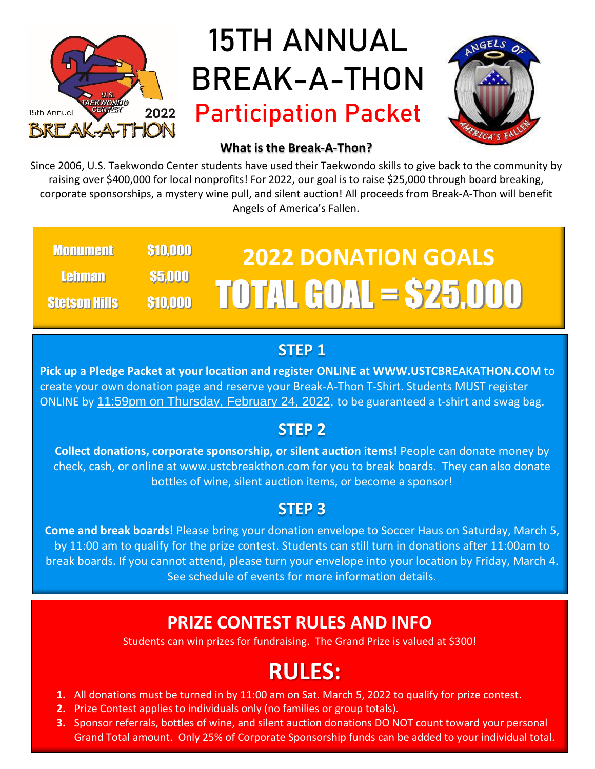

### **15TH ANNUAL BREAK-A-THON Participation Packet**



#### **What is the Break-A-Thon?**

Since 2006, U.S. Taekwondo Center students have used their Taekwondo skills to give back to the community by raising over \$400,000 for local nonprofits! For 2022, our goal is to raise \$25,000 through board breaking, corporate sponsorships, a mystery wine pull, and silent auction! All proceeds from Break-A-Thon will benefit Angels of America's Fallen.

#### **2022 DONATION GOALS** TOTAL GOAL = \$25,000 **Monument** Lehman Stetson Hills \$10,000 \$5,000 \$10,000

#### **STEP 1**

**Pick up a Pledge Packet at your location and register ONLINE at WWW.USTCBREAKATHON.COM** to create your own donation page and reserve your Break-A-Thon T-Shirt. Students MUST register ONLINE by 11:59pm on Thursday, February 24, 2022, to be guaranteed a t-shirt and swag bag.

#### **STEP 2**

**Collect donations, corporate sponsorship, or silent auction items!** People can donate money by check, cash, or online at www.ustcbreakthon.com for you to break boards. They can also donate bottles of wine, silent auction items, or become a sponsor!

### **STEP 3**

**Come and break boards!** Please bring your donation envelope to Soccer Haus on Saturday, March 5, by 11:00 am to qualify for the prize contest. Students can still turn in donations after 11:00am to break boards. If you cannot attend, please turn your envelope into your location by Friday, March 4. See schedule of events for more information details.

### **PRIZE CONTEST RULES AND INFO**

Students can win prizes for fundraising. The Grand Prize is valued at \$300!

### **RULES:**

- **1.** All donations must be turned in by 11:00 am on Sat. March 5, 2022 to qualify for prize contest.
- **2.** Prize Contest applies to individuals only (no families or group totals).
- **3.** Sponsor referrals, bottles of wine, and silent auction donations DO NOT count toward your personal Grand Total amount. Only 25% of Corporate Sponsorship funds can be added to your individual total.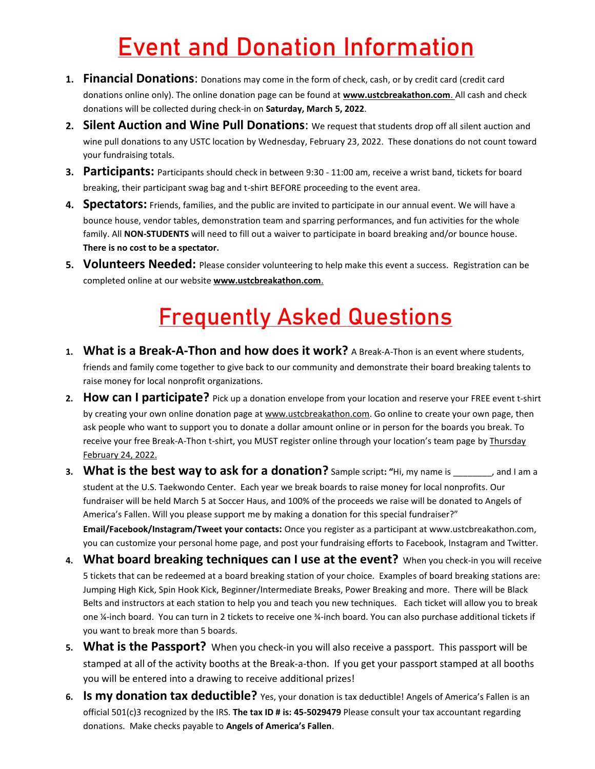### **Event and Donation Information**

- **1. Financial Donations**: Donations may come in the form of check, cash, or by credit card (credit card donations online only). The online donation page can be found at **[www.ustcbreakathon.com](http://www.ustcbreakathon.com/)**. All cash and check donations will be collected during check-in on **Saturday, March 5, 2022**.
- **2. Silent Auction and Wine Pull Donations**: We request that students drop off all silent auction and wine pull donations to any USTC location by Wednesday, February 23, 2022. These donations do not count toward your fundraising totals.
- **3. Participants:** Participants should check in between 9:30 11:00 am, receive a wrist band, tickets for board breaking, their participant swag bag and t-shirt BEFORE proceeding to the event area.
- **4. Spectators:** Friends, families, and the public are invited to participate in our annual event. We will have a bounce house, vendor tables, demonstration team and sparring performances, and fun activities for the whole family. All **NON-STUDENTS** will need to fill out a waiver to participate in board breaking and/or bounce house. **There is no cost to be a spectator.**
- **5. Volunteers Needed:** Please consider volunteering to help make this event a success. Registration can be completed online at our website **[www.ustcbreakathon.com](http://www.ustcbreakathon.com/)**.

### **Frequently Asked Questions**

- **1. What is a Break-A-Thon and how does it work?** A Break-A-Thon is an event where students, friends and family come together to give back to our community and demonstrate their board breaking talents to raise money for local nonprofit organizations.
- **2. How can I participate?** Pick up a donation envelope from your location and reserve your FREE event t-shirt by creating your own online donation page at www.ustcbreakathon.com. Go online to create your own page, then ask people who want to support you to donate a dollar amount online or in person for the boards you break. To receive your free Break-A-Thon t-shirt, you MUST register online through your location's team page by Thursday February 24, 2022.
- **3. What is the best way to ask for a donation?** Sample script**: "**Hi, my name is \_\_\_\_\_\_\_\_, and I am a student at the U.S. Taekwondo Center. Each year we break boards to raise money for local nonprofits. Our fundraiser will be held March 5 at Soccer Haus, and 100% of the proceeds we raise will be donated to Angels of America's Fallen. Will you please support me by making a donation for this special fundraiser?" **Email/Facebook/Instagram/Tweet your contacts:** Once you register as a participant at www.ustcbreakathon.com, you can customize your personal home page, and post your fundraising efforts to Facebook, Instagram and Twitter.
- **4. What board breaking techniques can I use at the event?** When you check-in you will receive 5 tickets that can be redeemed at a board breaking station of your choice. Examples of board breaking stations are: Jumping High Kick, Spin Hook Kick, Beginner/Intermediate Breaks, Power Breaking and more. There will be Black Belts and instructors at each station to help you and teach you new techniques. Each ticket will allow you to break one ¼-inch board. You can turn in 2 tickets to receive one ¾-inch board. You can also purchase additional tickets if you want to break more than 5 boards.
- **5. What is the Passport?** When you check-in you will also receive a passport. This passport will be stamped at all of the activity booths at the Break-a-thon. If you get your passport stamped at all booths you will be entered into a drawing to receive additional prizes!
- **6. Is my donation tax deductible?** Yes, your donation is tax deductible! Angels of America's Fallen is an official 501(c)3 recognized by the IRS. **The tax ID # is: 45-5029479** Please consult your tax accountant regarding donations. Make checks payable to **Angels of America's Fallen**.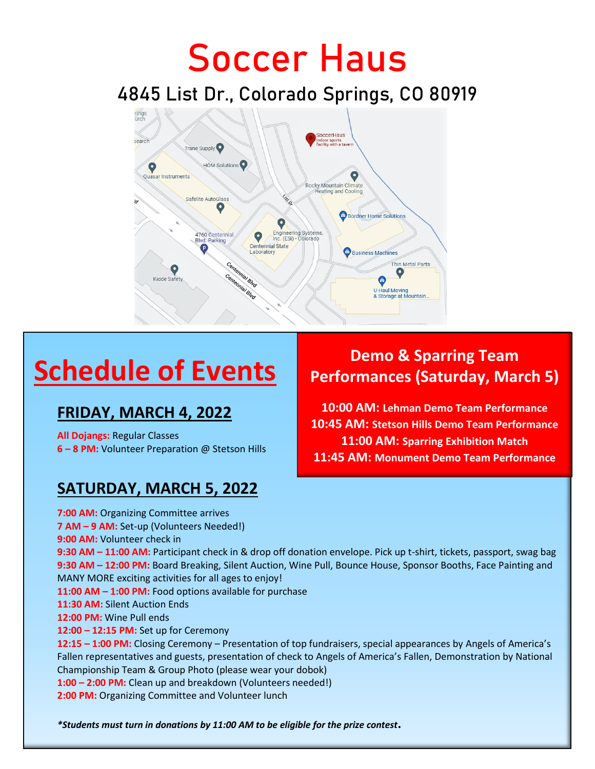## **Soccer Haus**

**4845 List Dr., Colorado Springs, CO 80919**



### **FRIDAY, MARCH 4, 2022**

**All Dojangs:** Regular Classes **6 – 8 PM:** Volunteer Preparation @ Stetson Hills

### **SATURDAY, MARCH 5, 2022**

### **Schedule of Events Demo & Sparring Team Schedule of Events Performances (Saturday, Ma Performances (Saturday, March 5)**

**10:00 AM: Lehman Demo Team Performance 10:45 AM: Stetson Hills Demo Team Performance 11:00 AM: Sparring Exhibition Match 11:45 AM: Monument Demo Team Performance**

**7:00 AM:** Organizing Committee arrives **7 AM – 9 AM:** Set-up (Volunteers Needed!) **9:00 AM:** Volunteer check in **9:30 AM – 11:00 AM:** Participant check in & drop off donation envelope. Pick up t-shirt, tickets, passport, swag bag **9:30 AM – 12:00 PM:** Board Breaking, Silent Auction, Wine Pull, Bounce House, Sponsor Booths, Face Painting and MANY MORE exciting activities for all ages to enjoy! **11:00 AM – 1:00 PM:** Food options available for purchase **11:30 AM:** Silent Auction Ends **12:00 PM:** Wine Pull ends **12:00 – 12:15 PM:** Set up for Ceremony **12:15 – 1:00 PM:** Closing Ceremony – Presentation of top fundraisers, special appearances by Angels of America's Fallen representatives and guests, presentation of check to Angels of America's Fallen, Demonstration by National Championship Team & Group Photo (please wear your dobok) **1:00 – 2:00 PM:** Clean up and breakdown (Volunteers needed!) **2:00 PM:** Organizing Committee and Volunteer lunch

*\*Students must turn in donations by 11:00 AM to be eligible for the prize contest***.**